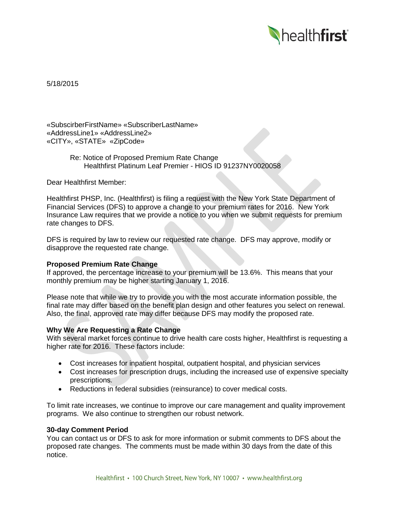

5/18/2015

«SubscirberFirstName» «SubscriberLastName» «AddressLine1» «AddressLine2» «CITY», «STATE» «ZipCode»

> Re: Notice of Proposed Premium Rate Change Healthfirst Platinum Leaf Premier - HIOS ID 91237NY0020058

Dear Healthfirst Member:

Healthfirst PHSP, Inc. (Healthfirst) is filing a request with the New York State Department of Financial Services (DFS) to approve a change to your premium rates for 2016. New York Insurance Law requires that we provide a notice to you when we submit requests for premium rate changes to DFS.

DFS is required by law to review our requested rate change. DFS may approve, modify or disapprove the requested rate change.

# **Proposed Premium Rate Change**

If approved, the percentage increase to your premium will be 13.6%. This means that your monthly premium may be higher starting January 1, 2016.

Please note that while we try to provide you with the most accurate information possible, the final rate may differ based on the benefit plan design and other features you select on renewal. Also, the final, approved rate may differ because DFS may modify the proposed rate.

## **Why We Are Requesting a Rate Change**

With several market forces continue to drive health care costs higher, Healthfirst is requesting a higher rate for 2016. These factors include:

- Cost increases for inpatient hospital, outpatient hospital, and physician services
- Cost increases for prescription drugs, including the increased use of expensive specialty prescriptions.
- Reductions in federal subsidies (reinsurance) to cover medical costs.

To limit rate increases, we continue to improve our care management and quality improvement programs. We also continue to strengthen our robust network.

#### **30-day Comment Period**

You can contact us or DFS to ask for more information or submit comments to DFS about the proposed rate changes. The comments must be made within 30 days from the date of this notice.